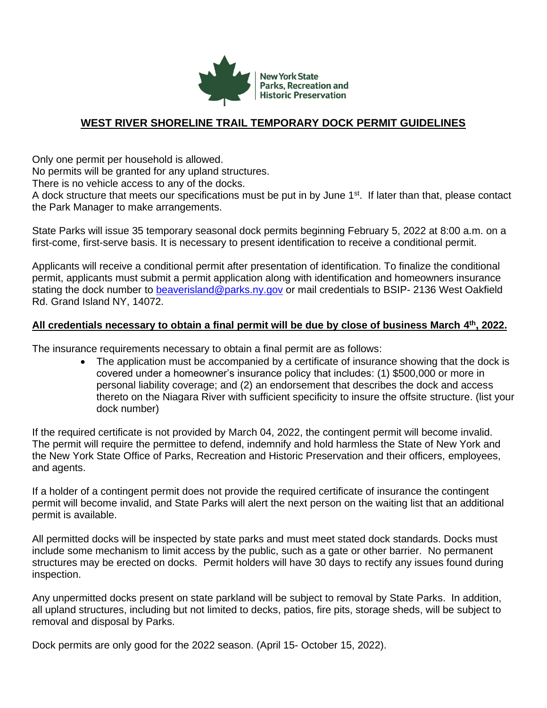

## **WEST RIVER SHORELINE TRAIL TEMPORARY DOCK PERMIT GUIDELINES**

Only one permit per household is allowed.

No permits will be granted for any upland structures.

There is no vehicle access to any of the docks.

A dock structure that meets our specifications must be put in by June 1<sup>st</sup>. If later than that, please contact the Park Manager to make arrangements.

State Parks will issue 35 temporary seasonal dock permits beginning February 5, 2022 at 8:00 a.m. on a first-come, first-serve basis. It is necessary to present identification to receive a conditional permit.

Applicants will receive a conditional permit after presentation of identification. To finalize the conditional permit, applicants must submit a permit application along with identification and homeowners insurance stating the dock number to [beaverisland@parks.ny.gov](mailto:beaverisland@park.ny.gov) or mail credentials to BSIP- 2136 West Oakfield Rd. Grand Island NY, 14072.

## **All credentials necessary to obtain a final permit will be due by close of business March 4 th, 2022.**

The insurance requirements necessary to obtain a final permit are as follows:

• The application must be accompanied by a certificate of insurance showing that the dock is covered under a homeowner's insurance policy that includes: (1) \$500,000 or more in personal liability coverage; and (2) an endorsement that describes the dock and access thereto on the Niagara River with sufficient specificity to insure the offsite structure. (list your dock number)

If the required certificate is not provided by March 04, 2022, the contingent permit will become invalid. The permit will require the permittee to defend, indemnify and hold harmless the State of New York and the New York State Office of Parks, Recreation and Historic Preservation and their officers, employees, and agents.

If a holder of a contingent permit does not provide the required certificate of insurance the contingent permit will become invalid, and State Parks will alert the next person on the waiting list that an additional permit is available.

All permitted docks will be inspected by state parks and must meet stated dock standards. Docks must include some mechanism to limit access by the public, such as a gate or other barrier. No permanent structures may be erected on docks. Permit holders will have 30 days to rectify any issues found during inspection.

Any unpermitted docks present on state parkland will be subject to removal by State Parks. In addition, all upland structures, including but not limited to decks, patios, fire pits, storage sheds, will be subject to removal and disposal by Parks.

Dock permits are only good for the 2022 season. (April 15- October 15, 2022).